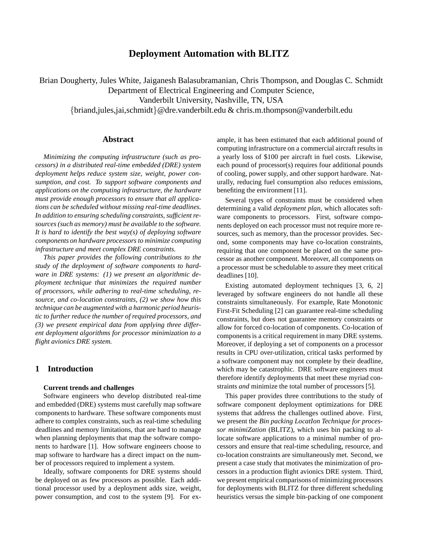# **Deployment Automation with BLITZ**

Brian Dougherty, Jules White, Jaiganesh Balasubramanian, Chris Thompson, and Douglas C. Schmidt Department of Electrical Engineering and Computer Science, Vanderbilt University, Nashville, TN, USA {briand,jules,jai,schmidt}@dre.vanderbilt.edu & chris.m.thompson@vanderbilt.edu

### **Abstract**

*Minimizing the computing infrastructure (such as processors) in a distributed real-time embedded (DRE) system deployment helps reduce system size, weight, power consumption, and cost. To support software components and applications on the computing infrastructure, the hardware must provide enough processors to ensure that all applications can be scheduled without missing real-time deadlines. In addition to ensuring scheduling constraints, sufficient resources (such as memory) must be available to the software. It is hard to identify the best way(s) of deploying software components on hardware processors to minimize computing infrastructure and meet complex DRE constraints.*

*This paper provides the following contributions to the study of the deployment of software components to hardware in DRE systems: (1) we present an algorithmic deployment technique that minimizes the required number of processors, while adhering to real-time scheduling, resource, and co-location constraints, (2) we show how this technique can be augmented with a harmonic period heuristic to further reduce the number of required processors, and (3) we present empirical data from applying three different deployment algorithms for processor minimization to a flight avionics DRE system.*

#### **1 Introduction**

#### **Current trends and challenges**

Software engineers who develop distributed real-time and embedded (DRE) systems must carefully map software components to hardware. These software components must adhere to complex constraints, such as real-time scheduling deadlines and memory limitations, that are hard to manage when planning deployments that map the software components to hardware [1]. How software engineers choose to map software to hardware has a direct impact on the number of processors required to implement a system.

Ideally, software components for DRE systems should be deployed on as few processors as possible. Each additional processor used by a deployment adds size, weight, power consumption, and cost to the system [9]. For example, it has been estimated that each additional pound of computing infrastructure on a commercial aircraft results in a yearly loss of \$100 per aircraft in fuel costs. Likewise, each pound of processor(s) requires four additional pounds of cooling, power supply, and other support hardware. Naturally, reducing fuel consumption also reduces emissions, benefiting the environment [11].

Several types of constraints must be considered when determining a valid *deployment plan*, which allocates software components to processors. First, software components deployed on each processor must not require more resources, such as memory, than the processor provides. Second, some components may have co-location constraints, requiring that one component be placed on the same processor as another component. Moreover, all components on a processor must be schedulable to assure they meet critical deadlines [10].

Existing automated deployment techniques [3, 6, 2] leveraged by software engineers do not handle all these constraints simultaneously. For example, Rate Monotonic First-Fit Scheduling [2] can guarantee real-time scheduling constraints, but does not guarantee memory constraints or allow for forced co-location of components. Co-location of components is a critical requirement in many DRE systems. Moreover, if deploying a set of components on a processor results in CPU over-utilization, critical tasks performed by a software component may not complete by their deadline, which may be catastrophic. DRE software engineers must therefore identify deployments that meet these myriad constraints *and* minimize the total number of processors [5].

This paper provides three contributions to the study of software component deployment optimizations for DRE systems that address the challenges outlined above. First, we present the *Bin packing LocatIon Technique for processor minimiZation* (BLITZ), which uses bin packing to allocate software applications to a minimal number of processors and ensure that real-time scheduling, resource, and co-location constraints are simultaneously met. Second, we present a case study that motivates the minimization of processors in a production flight avionics DRE system. Third, we present empirical comparisons of minimizing processors for deployments with BLITZ for three different scheduling heuristics versus the simple bin-packing of one component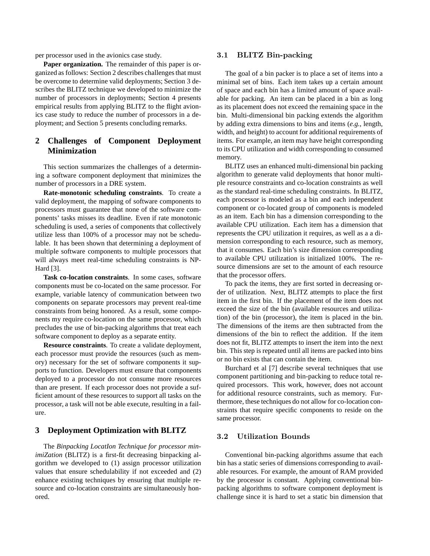per processor used in the avionics case study.

**Paper organization.** The remainder of this paper is organized as follows: Section 2 describes challenges that must be overcome to determine valid deployments; Section 3 describes the BLITZ technique we developed to minimize the number of processors in deployments; Section 4 presents empirical results from applying BLITZ to the flight avionics case study to reduce the number of processors in a deployment; and Section 5 presents concluding remarks.

## **2 Challenges of Component Deployment Minimization**

This section summarizes the challenges of a determining a software component deployment that minimizes the number of processors in a DRE system.

**Rate-monotonic scheduling constraints**. To create a valid deployment, the mapping of software components to processors must guarantee that none of the software components' tasks misses its deadline. Even if rate monotonic scheduling is used, a series of components that collectively utilize less than 100% of a processor may not be schedulable. It has been shown that determining a deployment of multiple software components to multiple processors that will always meet real-time scheduling constraints is NP-Hard [3].

**Task co-location constraints**. In some cases, software components must be co-located on the same processor. For example, variable latency of communication between two components on separate processors may prevent real-time constraints from being honored. As a result, some components my require co-location on the same processor, which precludes the use of bin-packing algorithms that treat each software component to deploy as a separate entity.

**Resource constraints**. To create a validate deployment, each processor must provide the resources (such as memory) necessary for the set of software components it supports to function. Developers must ensure that components deployed to a processor do not consume more resources than are present. If each processor does not provide a sufficient amount of these resources to support all tasks on the processor, a task will not be able execute, resulting in a failure.

#### **3 Deployment Optimization with BLITZ**

The *Binpacking LocatIon Technique for processor minimiZation* (BLITZ) is a first-fit decreasing binpacking algorithm we developed to (1) assign processor utilization values that ensure schedulability if not exceeded and (2) enhance existing techniques by ensuring that multiple resource and co-location constraints are simultaneously honored.

#### 3.1 BLITZ Bin-packing

The goal of a bin packer is to place a set of items into a minimal set of bins. Each item takes up a certain amount of space and each bin has a limited amount of space available for packing. An item can be placed in a bin as long as its placement does not exceed the remaining space in the bin. Multi-dimensional bin packing extends the algorithm by adding extra dimensions to bins and items (*e.g.*, length, width, and height) to account for additional requirements of items. For example, an item may have height corresponding to its CPU utilization and width corresponding to consumed memory.

BLITZ uses an enhanced multi-dimensional bin packing algorithm to generate valid deployments that honor multiple resource constraints and co-location constraints as well as the standard real-time scheduling constraints. In BLITZ, each processor is modeled as a bin and each independent component or co-located group of components is modeled as an item. Each bin has a dimension corresponding to the available CPU utilization. Each item has a dimension that represents the CPU utilization it requires, as well as a a dimension corresponding to each resource, such as memory, that it consumes. Each bin's size dimension corresponding to available CPU utilization is initialized 100%. The resource dimensions are set to the amount of each resource that the processor offers.

To pack the items, they are first sorted in decreasing order of utilization. Next, BLITZ attempts to place the first item in the first bin. If the placement of the item does not exceed the size of the bin (available resources and utilization) of the bin (processor), the item is placed in the bin. The dimensions of the items are then subtracted from the dimensions of the bin to reflect the addition. If the item does not fit, BLITZ attempts to insert the item into the next bin. This step is repeated until all items are packed into bins or no bin exists that can contain the item.

Burchard et al [7] describe several techniques that use component partitioning and bin-packing to reduce total required processors. This work, however, does not account for additional resource constraints, such as memory. Furthermore, these techniques do not allow for co-location constraints that require specific components to reside on the same processor.

### 3.2 Utilization Bounds

Conventional bin-packing algorithms assume that each bin has a static series of dimensions corresponding to available resources. For example, the amount of RAM provided by the processor is constant. Applying conventional binpacking algorithms to software component deployment is challenge since it is hard to set a static bin dimension that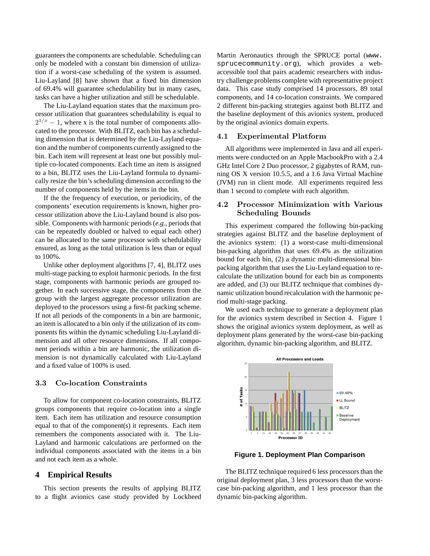guarantees the components are schedulable. Scheduling can only be modeled with a constant bin dimension of utilization if a worst-case scheduling of the system is assumed. Liu-Layland [8] have shown that a fixed bin dimension of 69.4% will guarantee schedulability but in many cases, tasks can have a higher utilization and still be schedulable.

The Liu-Layland equation states that the maximum processor utilization that guarantees schedulability is equal to  $2^{1/x} - 1$ , where x is the total number of components allocated to the processor. With BLITZ, each bin has a scheduling dimension that is determined by the Liu-Layland equation and the number of components currently assigned to the bin. Each item will represent at least one but possibly multiple co-located components. Each time an item is assigned to a bin, BLITZ uses the Liu-Layland formula to dynamically resize the bin's scheduling dimension according to the number of components held by the items in the bin.

If the the frequency of execution, or periodicity, of the components' execution requirements is known, higher processor utilization above the Liu-Layland bound is also possible. Components with harmonic periods (*e.g.*, periods that can be repeatedly doubled or halved to equal each other) can be allocated to the same processor with schedulability ensured, as long as the total utilization is less than or equal to 100%.

Unlike other deployment algorithms [7, 4], BLITZ uses multi-stage packing to exploit harmonic periods. In the first stage, components with harmonic periods are grouped together. In each successive stage, the components from the group with the largest aggregate processor utilization are deployed to the processors using a first-fit packing scheme. If not all periods of the components in a bin are harmonic, an item is allocated to a bin only if the utilization of its components fits within the dynamic scheduling Liu-Layland dimension and all other resource dimensions. If all component periods within a bin are harmonic, the utilization dimension is not dynamically calculated with Liu-Layland and a fixed value of 100% is used.

### 3.3 Co-location Constraints

To allow for component co-location constraints, BLITZ groups components that require co-location into a single item. Each item has utilization and resource consumption equal to that of the component(s) it represents. Each item remembers the components associated with it. The Liu-Layland and harmonic calculations are performed on the individual components associated with the items in a bin and not each item as a whole.

#### **4 Empirical Results**

This section presents the results of applying BLITZ to a flight avionics case study provided by Lockheed

Martin Aeronautics through the SPRUCE portal (www. sprucecommunity.org), which provides a webaccessible tool that pairs academic researchers with industry challenge problems complete with representative project data. This case study comprised 14 processors, 89 total components, and 14 co-location constraints. We compared 2 different bin-packing strategies against both BLITZ and the baseline deployment of this avionics system, produced by the original avionics domain experts.

#### 4.1 Experimental Platform

All algorithms were implemented in Java and all experiments were conducted on an Apple MacbookPro with a 2.4 GHz Intel Core 2 Duo processor, 2 gigabytes of RAM, running OS X version 10.5.5, and a 1.6 Java Virtual Machine (JVM) run in client mode. All experiments required less than 1 second to complete with each algorithm.

### 4.2 Processor Minimization with Various Scheduling Bounds

This experiment compared the following bin-packing strategies against BLITZ and the baseline deployment of the avionics system: (1) a worst-case multi-dimensional bin-packing algorithm that uses 69.4% as the utilization bound for each bin, (2) a dynamic multi-dimensional binpacking algorithm that uses the Liu-Leyland equation to recalculate the utilization bound for each bin as components are added, and (3) our BLITZ technique that combines dynamic utilization bound recalculation with the harmonic period multi-stage packing.

We used each technique to generate a deployment plan for the avionics system described in Section 4. Figure 1 shows the original avionics system deployment, as well as deployment plans generated by the worst-case bin-packing algorithm, dynamic bin-packing algorithm, and BLITZ.



**Figure 1. Deployment Plan Comparison**

The BLITZ technique required 6 less processors than the original deployment plan, 3 less processors than the worstcase bin-packing algorithm, and 1 less processor than the dynamic bin-packing algorithm.